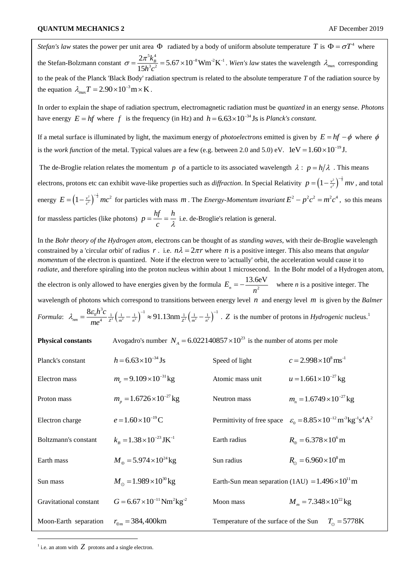*Stefan's law* states the power per unit area  $\Phi$  radiated by a body of uniform absolute temperature T is  $\Phi = \sigma T^4$  where the Stefan-Bolzmann constant  $\frac{5k_B^4}{k_B^2}$  = 5.67 × 10<sup>-8</sup> Wm<sup>-2</sup>K<sup>-1</sup>  $rac{B}{3}$ <sup>2</sup>  $\frac{2\pi^5 k_B^4}{15h^3c^2}$  = 5.67 × 10<sup>-8</sup> Wm<sup>-2</sup> K  $\sigma = \frac{2\pi^5 k_B^4}{15h^3c^2} = 5.67 \times 10^{-8}$  Wm<sup>-2</sup>K<sup>-1</sup>. Wien's law states the wavelength  $\lambda_{\text{max}}$  corresponding to the peak of the Planck 'Black Body' radiation spectrum is related to the absolute temperature *T* of the radiation source by the equation  $\lambda_{\text{max}} T = 2.90 \times 10^{-3} \text{m} \times \text{K}$ .

In order to explain the shape of radiation spectrum, electromagnetic radiation must be *quantized* in an energy sense. *Photons* have energy  $E = hf$  where f is the frequency (in Hz) and  $h = 6.63 \times 10^{-34}$  Js is *Planck's constant.* 

If a metal surface is illuminated by light, the maximum energy of *photoelectrons* emitted is given by  $E = hf - \phi$  where  $\phi$ is the *work function* of the metal. Typical values are a few (e.g. between 2.0 and 5.0) eV.  $1 \text{eV} = 1.60 \times 10^{-19} \text{J}$ .

The de-Broglie relation relates the momentum p of a particle to its associated wavelength  $\lambda : p = h/\lambda$ . This means electrons, protons etc can exhibit wave-like properties such as *diffraction*. In Special Relativity  $p = \left(1 - \frac{v^2}{c^2}\right)^{-\frac{1}{2}} mv$ , and total energy  $E = \left(1 - \frac{v^2}{c^2}\right)^{-\frac{1}{2}} mc^2$  for particles with mass *m*. The *Energy-Momentum invariant*  $E^2 - p^2 c^2 = m^2 c^4$ , so this means for massless particles (like photons)  $p = \frac{hf}{f} = \frac{h}{f}$ *c* λ  $=\frac{y}{x}=\frac{h}{x}$  i.e. de-Broglie's relation is general.

In the *Bohr theory of the Hydrogen atom*, electrons can be thought of as *standing waves*, with their de-Broglie wavelength constrained by a 'circular orbit' of radius r. i.e.  $n\lambda = 2\pi r$  where n is a positive integer. This also means that *angular momentum* of the electron is quantized. Note if the electron were to 'actually' orbit, the acceleration would cause it to *radiate*, and therefore spiraling into the proton nucleus within about 1 microsecond. In the Bohr model of a Hydrogen atom, the electron is only allowed to have energies given by the formula  $E_n = -\frac{13.6 \text{eV}}{n^2}$  $=-\frac{13.66 \text{ V}}{2}$  where *n* is a positive integer. The wavelength of photons which correspond to transitions between energy level *n* and energy level *m* is given by the *Balmer*   $\frac{1}{2} \left( \frac{1}{m^2} - \frac{1}{n^2} \right)^{-1} \approx 91.13 \text{nm} \frac{1}{2^2} \left( \frac{1}{m^2} - \frac{1}{n^2} \right)^{-1}$ 8 *n* of photons which correspond to transitions betwe<br>  $E_{nm} = \frac{8\varepsilon_0 h^3 c}{me^4} \frac{1}{z^2} \left(\frac{1}{m^2} - \frac{1}{n^2}\right)^{-1} \approx 91.13 \text{nm} \frac{1}{z^2} \left(\frac{1}{m^2} - \frac{1}{n}\right)$ or photons which correspond to transitions between energy level *n* and energy level *m* is given by the *Ba*<br>  $\lambda_{nm} = \frac{8\varepsilon_0 h^3 c}{ma^4} \frac{1}{z^2} \left(\frac{1}{m^2} - \frac{1}{n^2}\right)^{-1} \approx 91.13 \text{nm} \frac{1}{z^2} \left(\frac{1}{m^2} - \frac{1}{n^2}\right)^{-1}$ .

*Formula*:  $\lambda_{nm} = \frac{360l}{4} \frac{1}{7^2} \left( \frac{1}{m^2} - \frac{1}{n^2} \right)^2 \approx 91.13 \text{nm} \frac{1}{7^2} \left( \frac{1}{m^2} - \frac{1}{n^2} \right)^2$ 

**Physical constants** Avogadro's number  $N_A = 6.022140857 \times 10^{23}$  is the number of atoms per mole

| Planck's constant      | $h = 6.63 \times 10^{-34}$ Js                               | Speed of light                                             | $c = 2.998 \times 10^8 \,\mathrm{ms}^{-1}$                                                                      |
|------------------------|-------------------------------------------------------------|------------------------------------------------------------|-----------------------------------------------------------------------------------------------------------------|
| Electron mass          | $m_{\rm s} = 9.109 \times 10^{-31}$ kg                      | Atomic mass unit                                           | $u = 1.661 \times 10^{-27}$ kg                                                                                  |
| Proton mass            | $m_{\eta} = 1.6726 \times 10^{-27}$ kg                      | Neutron mass                                               | $m_e = 1.6749 \times 10^{-27}$ kg                                                                               |
| Electron charge        | $e = 1.60 \times 10^{-19}$ C                                |                                                            | Permittivity of free space $\varepsilon_0 = 8.85 \times 10^{-12} \text{ m}^3 \text{kg}^1 \text{s}^4 \text{A}^2$ |
| Boltzmann's constant   | $k_{\rm B} = 1.38 \times 10^{-23}$ JK <sup>-1</sup>         | Earth radius                                               | $R_{\rm m} = 6.378 \times 10^6 \,\rm m$                                                                         |
| Earth mass             | $M_{\odot} = 5.974 \times 10^{24}$ kg                       | Sun radius                                                 | $R_{\odot} = 6.960 \times 10^8 \,\mathrm{m}$                                                                    |
| Sun mass               | $M_{\odot} = 1.989 \times 10^{30}$ kg                       | Earth-Sun mean separation (1AU) = $1.496 \times 10^{11}$ m |                                                                                                                 |
| Gravitational constant | $G = 6.67 \times 10^{-11}$ Nm <sup>2</sup> kg <sup>-2</sup> | Moon mass                                                  | $M_{\rm m} = 7.348 \times 10^{22}$ kg                                                                           |
| Moon-Earth separation  | $r_{\text{m}} = 384,400 \text{km}$                          | Temperature of the surface of the Sun                      | $T_{\odot} = 5778K$                                                                                             |

<sup>1</sup> i.e. an atom with  $Z$  protons and a single electron.

-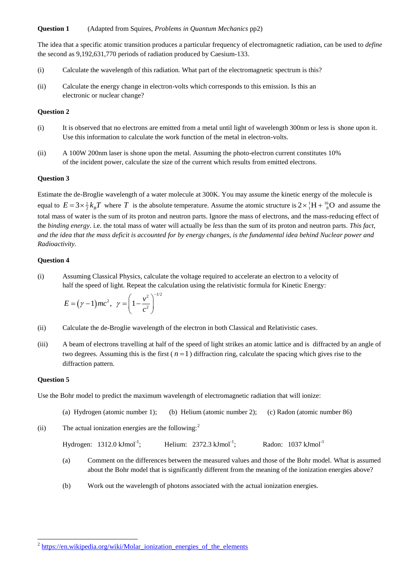## **Question 1** (Adapted from Squires, *Problems in Quantum Mechanics* pp2)

The idea that a specific atomic transition produces a particular frequency of electromagnetic radiation, can be used to *define* the second as 9,192,631,770 periods of radiation produced by Caesium-133.

- (i) Calculate the wavelength of this radiation. What part of the electromagnetic spectrum is this?
- (ii) Calculate the energy change in electron-volts which corresponds to this emission. Is this an electronic or nuclear change?

# **Question 2**

- (i) It is observed that no electrons are emitted from a metal until light of wavelength 300nm or less is shone upon it. Use this information to calculate the work function of the metal in electron-volts.
- (ii) A 100W 200nm laser is shone upon the metal. Assuming the photo-electron current constitutes 10% of the incident power, calculate the size of the current which results from emitted electrons.

### **Question 3**

Estimate the de-Broglie wavelength of a water molecule at 300K. You may assume the kinetic energy of the molecule is equal to  $E = 3 \times \frac{1}{2} k_B T$  where T is the absolute temperature. Assume the atomic structure is  $2 \times \frac{1}{1}H + \frac{16}{8}O$  and assume the total mass of water is the sum of its proton and neutron parts. Ignore the mass of electrons, and the mass-reducing effect of the *binding energy*. i.e. the total mass of water will actually be *less* than the sum of its proton and neutron parts. *This fact, and the idea that the mass deficit is accounted for by energy changes, is the fundamental idea behind Nuclear power and Radioactivity.*

### **Question 4**

(i) Assuming Classical Physics, calculate the voltage required to accelerate an electron to a velocity of half the speed of light. Repeat the calculation using the relativistic formula for Kinetic Energy:

$$
E = (\gamma - 1)mc^2, \ \ \gamma = \left(1 - \frac{v^2}{c^2}\right)^{-1/2}
$$

- (ii) Calculate the de-Broglie wavelength of the electron in both Classical and Relativistic cases.
- (iii) A beam of electrons travelling at half of the speed of light strikes an atomic lattice and is diffracted by an angle of two degrees. Assuming this is the first  $(n=1)$  diffraction ring, calculate the spacing which gives rise to the diffraction pattern.

#### **Question 5**

Use the Bohr model to predict the maximum wavelength of electromagnetic radiation that will ionize:

- (a) Hydrogen (atomic number 1); (b) Helium (atomic number 2); (c) Radon (atomic number 86)
- (ii) The actual ionization energies are the following:<sup>2</sup>

| Hydrogen: $1312.0 \text{ kJmol}^{-1}$ ; | Helium: $2372.3 \text{ kJ} \text{mol}^{-1}$ : | Radon: $1037 \text{ kJ}$ mol <sup>-1</sup> |
|-----------------------------------------|-----------------------------------------------|--------------------------------------------|
|                                         |                                               |                                            |

- (a) Comment on the differences between the measured values and those of the Bohr model. What is assumed about the Bohr model that is significantly different from the meaning of the ionization energies above?
- (b) Work out the wavelength of photons associated with the actual ionization energies.

<sup>&</sup>lt;sup>2</sup> [https://en.wikipedia.org/wiki/Molar\\_ionization\\_energies\\_of\\_the\\_elements](https://en.wikipedia.org/wiki/Molar_ionization_energies_of_the_elements)